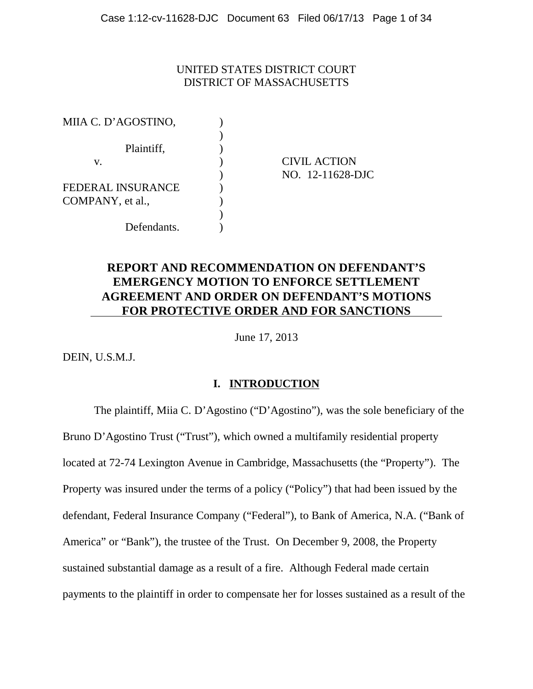# UNITED STATES DISTRICT COURT DISTRICT OF MASSACHUSETTS

| MIIA C. D'AGOSTINO,      |                     |
|--------------------------|---------------------|
| Plaintiff,               |                     |
| V.                       | <b>CIVIL ACTION</b> |
|                          | NO. 12-11628-DJC    |
| <b>FEDERAL INSURANCE</b> |                     |
| COMPANY, et al.,         |                     |
|                          |                     |
| Defendants.              |                     |

# **REPORT AND RECOMMENDATION ON DEFENDANT'S EMERGENCY MOTION TO ENFORCE SETTLEMENT AGREEMENT AND ORDER ON DEFENDANT'S MOTIONS FOR PROTECTIVE ORDER AND FOR SANCTIONS**

June 17, 2013

DEIN, U.S.M.J.

# **I. INTRODUCTION**

The plaintiff, Miia C. D'Agostino ("D'Agostino"), was the sole beneficiary of the Bruno D'Agostino Trust ("Trust"), which owned a multifamily residential property located at 72-74 Lexington Avenue in Cambridge, Massachusetts (the "Property"). The Property was insured under the terms of a policy ("Policy") that had been issued by the defendant, Federal Insurance Company ("Federal"), to Bank of America, N.A. ("Bank of America" or "Bank"), the trustee of the Trust. On December 9, 2008, the Property sustained substantial damage as a result of a fire. Although Federal made certain payments to the plaintiff in order to compensate her for losses sustained as a result of the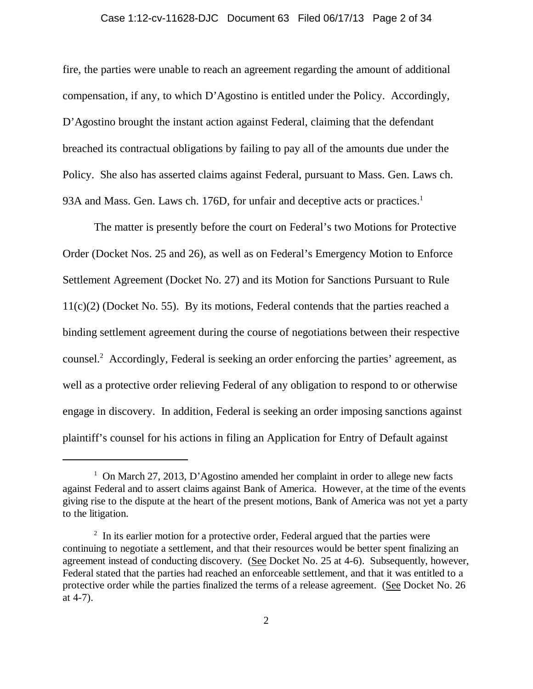### Case 1:12-cv-11628-DJC Document 63 Filed 06/17/13 Page 2 of 34

fire, the parties were unable to reach an agreement regarding the amount of additional compensation, if any, to which D'Agostino is entitled under the Policy. Accordingly, D'Agostino brought the instant action against Federal, claiming that the defendant breached its contractual obligations by failing to pay all of the amounts due under the Policy. She also has asserted claims against Federal, pursuant to Mass. Gen. Laws ch. 93A and Mass. Gen. Laws ch. 176D, for unfair and deceptive acts or practices.<sup>1</sup>

The matter is presently before the court on Federal's two Motions for Protective Order (Docket Nos. 25 and 26), as well as on Federal's Emergency Motion to Enforce Settlement Agreement (Docket No. 27) and its Motion for Sanctions Pursuant to Rule 11(c)(2) (Docket No. 55). By its motions, Federal contends that the parties reached a binding settlement agreement during the course of negotiations between their respective counsel.<sup>2</sup> Accordingly, Federal is seeking an order enforcing the parties' agreement, as well as a protective order relieving Federal of any obligation to respond to or otherwise engage in discovery. In addition, Federal is seeking an order imposing sanctions against plaintiff's counsel for his actions in filing an Application for Entry of Default against

<sup>&</sup>lt;sup>1</sup> On March 27, 2013, D'Agostino amended her complaint in order to allege new facts against Federal and to assert claims against Bank of America. However, at the time of the events giving rise to the dispute at the heart of the present motions, Bank of America was not yet a party to the litigation.

<sup>&</sup>lt;sup>2</sup> In its earlier motion for a protective order, Federal argued that the parties were continuing to negotiate a settlement, and that their resources would be better spent finalizing an agreement instead of conducting discovery. (See Docket No. 25 at 4-6). Subsequently, however, Federal stated that the parties had reached an enforceable settlement, and that it was entitled to a protective order while the parties finalized the terms of a release agreement. (See Docket No. 26 at 4-7).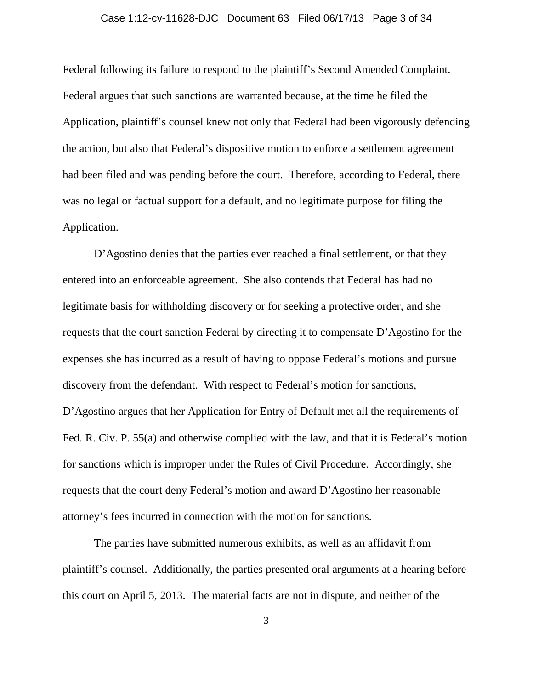### Case 1:12-cv-11628-DJC Document 63 Filed 06/17/13 Page 3 of 34

Federal following its failure to respond to the plaintiff's Second Amended Complaint. Federal argues that such sanctions are warranted because, at the time he filed the Application, plaintiff's counsel knew not only that Federal had been vigorously defending the action, but also that Federal's dispositive motion to enforce a settlement agreement had been filed and was pending before the court. Therefore, according to Federal, there was no legal or factual support for a default, and no legitimate purpose for filing the Application.

D'Agostino denies that the parties ever reached a final settlement, or that they entered into an enforceable agreement. She also contends that Federal has had no legitimate basis for withholding discovery or for seeking a protective order, and she requests that the court sanction Federal by directing it to compensate D'Agostino for the expenses she has incurred as a result of having to oppose Federal's motions and pursue discovery from the defendant. With respect to Federal's motion for sanctions, D'Agostino argues that her Application for Entry of Default met all the requirements of Fed. R. Civ. P. 55(a) and otherwise complied with the law, and that it is Federal's motion for sanctions which is improper under the Rules of Civil Procedure. Accordingly, she requests that the court deny Federal's motion and award D'Agostino her reasonable attorney's fees incurred in connection with the motion for sanctions.

The parties have submitted numerous exhibits, as well as an affidavit from plaintiff's counsel. Additionally, the parties presented oral arguments at a hearing before this court on April 5, 2013. The material facts are not in dispute, and neither of the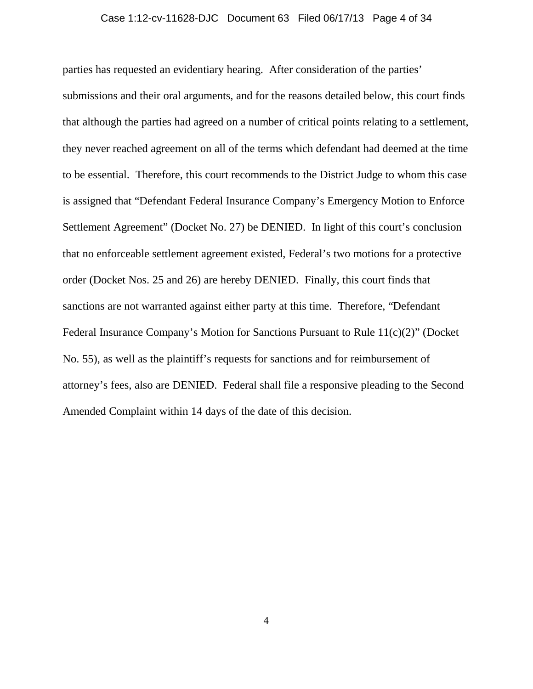### Case 1:12-cv-11628-DJC Document 63 Filed 06/17/13 Page 4 of 34

parties has requested an evidentiary hearing. After consideration of the parties' submissions and their oral arguments, and for the reasons detailed below, this court finds that although the parties had agreed on a number of critical points relating to a settlement, they never reached agreement on all of the terms which defendant had deemed at the time to be essential. Therefore, this court recommends to the District Judge to whom this case is assigned that "Defendant Federal Insurance Company's Emergency Motion to Enforce Settlement Agreement" (Docket No. 27) be DENIED. In light of this court's conclusion that no enforceable settlement agreement existed, Federal's two motions for a protective order (Docket Nos. 25 and 26) are hereby DENIED. Finally, this court finds that sanctions are not warranted against either party at this time. Therefore, "Defendant Federal Insurance Company's Motion for Sanctions Pursuant to Rule 11(c)(2)" (Docket No. 55), as well as the plaintiff's requests for sanctions and for reimbursement of attorney's fees, also are DENIED. Federal shall file a responsive pleading to the Second Amended Complaint within 14 days of the date of this decision.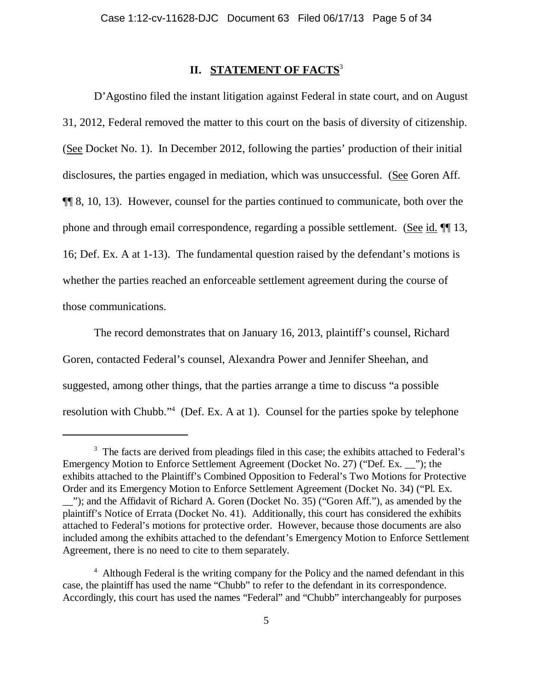# **II. STATEMENT OF FACTS**<sup>3</sup>

D'Agostino filed the instant litigation against Federal in state court, and on August 31, 2012, Federal removed the matter to this court on the basis of diversity of citizenship. (See Docket No. 1). In December 2012, following the parties' production of their initial disclosures, the parties engaged in mediation, which was unsuccessful. (See Goren Aff. ¶¶ 8, 10, 13). However, counsel for the parties continued to communicate, both over the phone and through email correspondence, regarding a possible settlement. (See id. ¶¶ 13, 16; Def. Ex. A at 1-13). The fundamental question raised by the defendant's motions is whether the parties reached an enforceable settlement agreement during the course of those communications.

The record demonstrates that on January 16, 2013, plaintiff's counsel, Richard Goren, contacted Federal's counsel, Alexandra Power and Jennifer Sheehan, and suggested, among other things, that the parties arrange a time to discuss "a possible resolution with Chubb."<sup>4</sup> (Def. Ex. A at 1). Counsel for the parties spoke by telephone

<sup>&</sup>lt;sup>3</sup> The facts are derived from pleadings filed in this case; the exhibits attached to Federal's Emergency Motion to Enforce Settlement Agreement (Docket No. 27) ("Def. Ex. \_\_"); the exhibits attached to the Plaintiff's Combined Opposition to Federal's Two Motions for Protective Order and its Emergency Motion to Enforce Settlement Agreement (Docket No. 34) ("Pl. Ex. \_\_"); and the Affidavit of Richard A. Goren (Docket No. 35) ("Goren Aff."), as amended by the plaintiff's Notice of Errata (Docket No. 41). Additionally, this court has considered the exhibits attached to Federal's motions for protective order. However, because those documents are also included among the exhibits attached to the defendant's Emergency Motion to Enforce Settlement Agreement, there is no need to cite to them separately.

<sup>&</sup>lt;sup>4</sup> Although Federal is the writing company for the Policy and the named defendant in this case, the plaintiff has used the name "Chubb" to refer to the defendant in its correspondence. Accordingly, this court has used the names "Federal" and "Chubb" interchangeably for purposes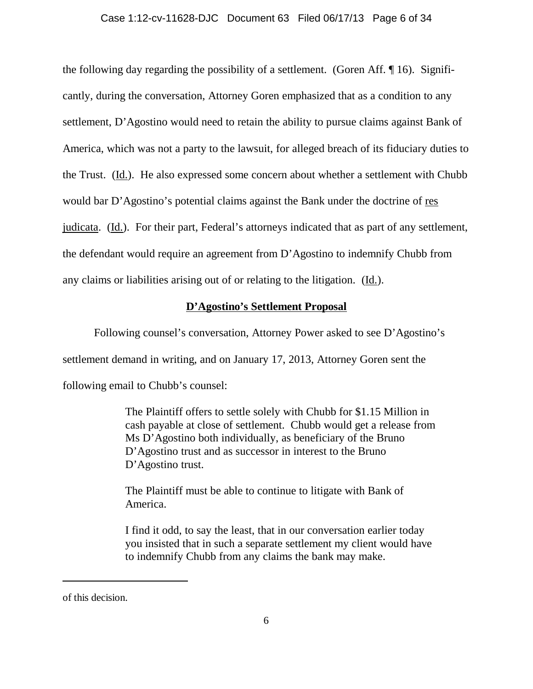### Case 1:12-cv-11628-DJC Document 63 Filed 06/17/13 Page 6 of 34

the following day regarding the possibility of a settlement. (Goren Aff. ¶ 16). Significantly, during the conversation, Attorney Goren emphasized that as a condition to any settlement, D'Agostino would need to retain the ability to pursue claims against Bank of America, which was not a party to the lawsuit, for alleged breach of its fiduciary duties to the Trust. (Id.). He also expressed some concern about whether a settlement with Chubb would bar D'Agostino's potential claims against the Bank under the doctrine of res judicata. (Id.). For their part, Federal's attorneys indicated that as part of any settlement, the defendant would require an agreement from D'Agostino to indemnify Chubb from any claims or liabilities arising out of or relating to the litigation. (Id.).

### **D'Agostino's Settlement Proposal**

Following counsel's conversation, Attorney Power asked to see D'Agostino's

settlement demand in writing, and on January 17, 2013, Attorney Goren sent the

following email to Chubb's counsel:

The Plaintiff offers to settle solely with Chubb for \$1.15 Million in cash payable at close of settlement. Chubb would get a release from Ms D'Agostino both individually, as beneficiary of the Bruno D'Agostino trust and as successor in interest to the Bruno D'Agostino trust.

The Plaintiff must be able to continue to litigate with Bank of America.

I find it odd, to say the least, that in our conversation earlier today you insisted that in such a separate settlement my client would have to indemnify Chubb from any claims the bank may make.

of this decision.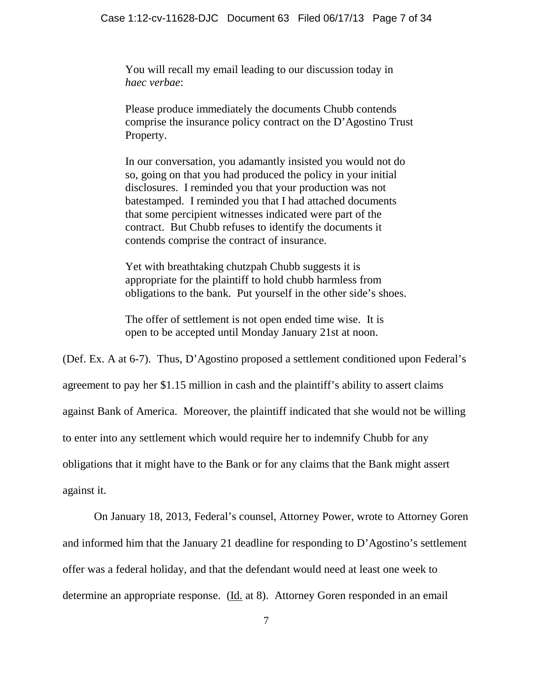You will recall my email leading to our discussion today in *haec verbae*:

Please produce immediately the documents Chubb contends comprise the insurance policy contract on the D'Agostino Trust Property.

In our conversation, you adamantly insisted you would not do so, going on that you had produced the policy in your initial disclosures. I reminded you that your production was not batestamped. I reminded you that I had attached documents that some percipient witnesses indicated were part of the contract. But Chubb refuses to identify the documents it contends comprise the contract of insurance.

Yet with breathtaking chutzpah Chubb suggests it is appropriate for the plaintiff to hold chubb harmless from obligations to the bank. Put yourself in the other side's shoes.

The offer of settlement is not open ended time wise. It is open to be accepted until Monday January 21st at noon.

(Def. Ex. A at 6-7). Thus, D'Agostino proposed a settlement conditioned upon Federal's agreement to pay her \$1.15 million in cash and the plaintiff's ability to assert claims against Bank of America. Moreover, the plaintiff indicated that she would not be willing to enter into any settlement which would require her to indemnify Chubb for any obligations that it might have to the Bank or for any claims that the Bank might assert against it.

On January 18, 2013, Federal's counsel, Attorney Power, wrote to Attorney Goren and informed him that the January 21 deadline for responding to D'Agostino's settlement offer was a federal holiday, and that the defendant would need at least one week to determine an appropriate response. (Id. at 8). Attorney Goren responded in an email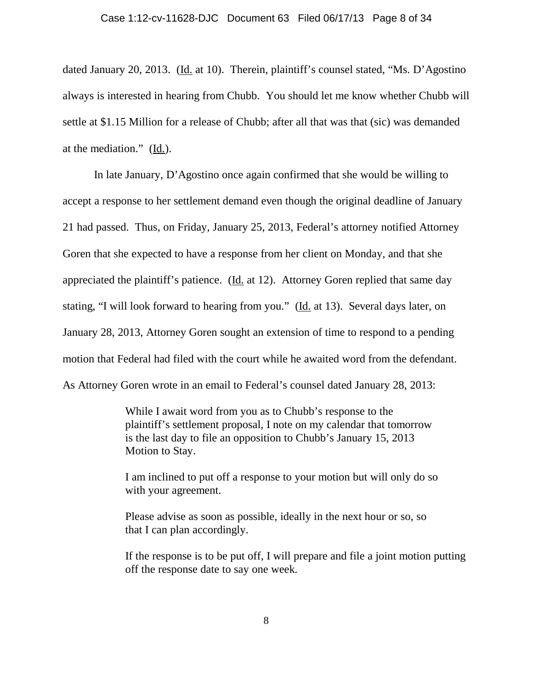dated January 20, 2013. (Id. at 10). Therein, plaintiff's counsel stated, "Ms. D'Agostino" always is interested in hearing from Chubb. You should let me know whether Chubb will settle at \$1.15 Million for a release of Chubb; after all that was that (sic) was demanded at the mediation." (Id.).

In late January, D'Agostino once again confirmed that she would be willing to accept a response to her settlement demand even though the original deadline of January 21 had passed. Thus, on Friday, January 25, 2013, Federal's attorney notified Attorney Goren that she expected to have a response from her client on Monday, and that she appreciated the plaintiff's patience.  $(\underline{Id}$  at 12). Attorney Goren replied that same day stating, "I will look forward to hearing from you." (Id. at 13). Several days later, on January 28, 2013, Attorney Goren sought an extension of time to respond to a pending motion that Federal had filed with the court while he awaited word from the defendant. As Attorney Goren wrote in an email to Federal's counsel dated January 28, 2013:

> While I await word from you as to Chubb's response to the plaintiff's settlement proposal, I note on my calendar that tomorrow is the last day to file an opposition to Chubb's January 15, 2013 Motion to Stay.

I am inclined to put off a response to your motion but will only do so with your agreement.

Please advise as soon as possible, ideally in the next hour or so, so that I can plan accordingly.

If the response is to be put off, I will prepare and file a joint motion putting off the response date to say one week.

8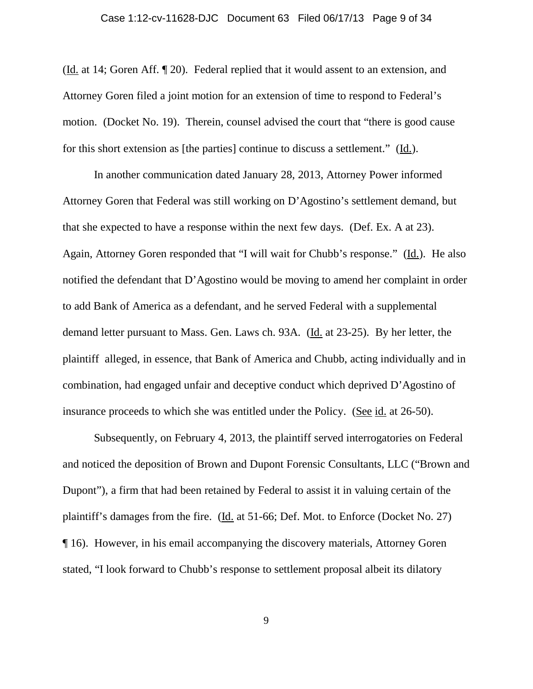### Case 1:12-cv-11628-DJC Document 63 Filed 06/17/13 Page 9 of 34

(Id. at 14; Goren Aff. ¶ 20). Federal replied that it would assent to an extension, and Attorney Goren filed a joint motion for an extension of time to respond to Federal's motion. (Docket No. 19). Therein, counsel advised the court that "there is good cause for this short extension as [the parties] continue to discuss a settlement." (Id.).

In another communication dated January 28, 2013, Attorney Power informed Attorney Goren that Federal was still working on D'Agostino's settlement demand, but that she expected to have a response within the next few days. (Def. Ex. A at 23). Again, Attorney Goren responded that "I will wait for Chubb's response." (Id.). He also notified the defendant that D'Agostino would be moving to amend her complaint in order to add Bank of America as a defendant, and he served Federal with a supplemental demand letter pursuant to Mass. Gen. Laws ch. 93A. (Id. at 23-25). By her letter, the plaintiff alleged, in essence, that Bank of America and Chubb, acting individually and in combination, had engaged unfair and deceptive conduct which deprived D'Agostino of insurance proceeds to which she was entitled under the Policy. (See id. at 26-50).

Subsequently, on February 4, 2013, the plaintiff served interrogatories on Federal and noticed the deposition of Brown and Dupont Forensic Consultants, LLC ("Brown and Dupont"), a firm that had been retained by Federal to assist it in valuing certain of the plaintiff's damages from the fire. (Id. at 51-66; Def. Mot. to Enforce (Docket No. 27) ¶ 16). However, in his email accompanying the discovery materials, Attorney Goren stated, "I look forward to Chubb's response to settlement proposal albeit its dilatory

9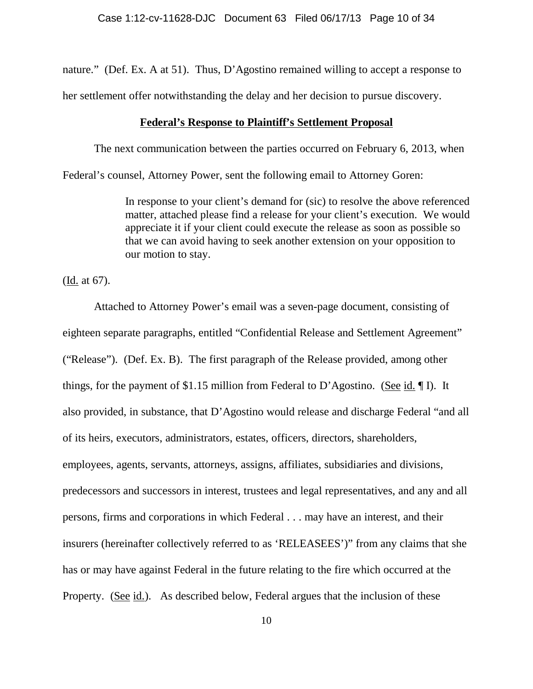nature." (Def. Ex. A at 51). Thus, D'Agostino remained willing to accept a response to her settlement offer notwithstanding the delay and her decision to pursue discovery.

### **Federal's Response to Plaintiff's Settlement Proposal**

The next communication between the parties occurred on February 6, 2013, when

Federal's counsel, Attorney Power, sent the following email to Attorney Goren:

In response to your client's demand for (sic) to resolve the above referenced matter, attached please find a release for your client's execution. We would appreciate it if your client could execute the release as soon as possible so that we can avoid having to seek another extension on your opposition to our motion to stay.

(Id. at 67).

Attached to Attorney Power's email was a seven-page document, consisting of eighteen separate paragraphs, entitled "Confidential Release and Settlement Agreement" ("Release"). (Def. Ex. B). The first paragraph of the Release provided, among other things, for the payment of \$1.15 million from Federal to D'Agostino. (See id.  $\P$ I). It also provided, in substance, that D'Agostino would release and discharge Federal "and all of its heirs, executors, administrators, estates, officers, directors, shareholders, employees, agents, servants, attorneys, assigns, affiliates, subsidiaries and divisions, predecessors and successors in interest, trustees and legal representatives, and any and all persons, firms and corporations in which Federal . . . may have an interest, and their insurers (hereinafter collectively referred to as 'RELEASEES')" from any claims that she has or may have against Federal in the future relating to the fire which occurred at the Property. (See id.). As described below, Federal argues that the inclusion of these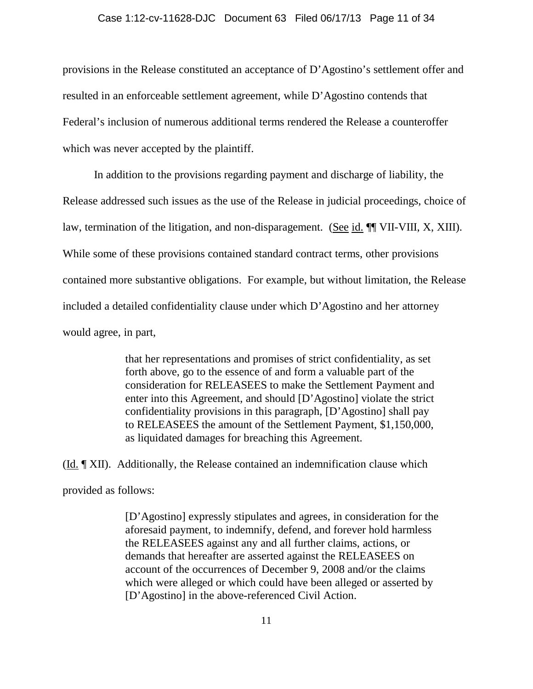#### Case 1:12-cv-11628-DJC Document 63 Filed 06/17/13 Page 11 of 34

provisions in the Release constituted an acceptance of D'Agostino's settlement offer and resulted in an enforceable settlement agreement, while D'Agostino contends that Federal's inclusion of numerous additional terms rendered the Release a counteroffer which was never accepted by the plaintiff.

In addition to the provisions regarding payment and discharge of liability, the Release addressed such issues as the use of the Release in judicial proceedings, choice of law, termination of the litigation, and non-disparagement. (See id. ¶[ VII-VIII, X, XIII). While some of these provisions contained standard contract terms, other provisions contained more substantive obligations. For example, but without limitation, the Release included a detailed confidentiality clause under which D'Agostino and her attorney would agree, in part,

> that her representations and promises of strict confidentiality, as set forth above, go to the essence of and form a valuable part of the consideration for RELEASEES to make the Settlement Payment and enter into this Agreement, and should [D'Agostino] violate the strict confidentiality provisions in this paragraph, [D'Agostino] shall pay to RELEASEES the amount of the Settlement Payment, \$1,150,000, as liquidated damages for breaching this Agreement.

(Id. ¶ XII). Additionally, the Release contained an indemnification clause which provided as follows:

> [D'Agostino] expressly stipulates and agrees, in consideration for the aforesaid payment, to indemnify, defend, and forever hold harmless the RELEASEES against any and all further claims, actions, or demands that hereafter are asserted against the RELEASEES on account of the occurrences of December 9, 2008 and/or the claims which were alleged or which could have been alleged or asserted by [D'Agostino] in the above-referenced Civil Action.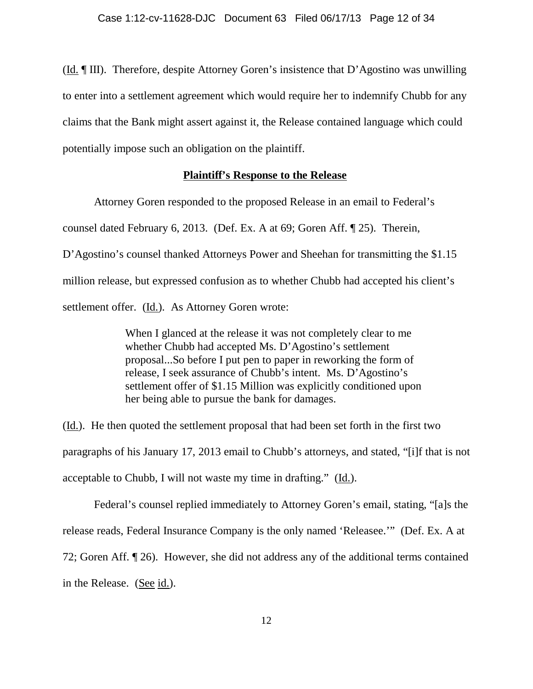(Id. ¶ III). Therefore, despite Attorney Goren's insistence that D'Agostino was unwilling to enter into a settlement agreement which would require her to indemnify Chubb for any claims that the Bank might assert against it, the Release contained language which could potentially impose such an obligation on the plaintiff.

### **Plaintiff's Response to the Release**

Attorney Goren responded to the proposed Release in an email to Federal's counsel dated February 6, 2013. (Def. Ex. A at 69; Goren Aff. ¶ 25). Therein, D'Agostino's counsel thanked Attorneys Power and Sheehan for transmitting the \$1.15 million release, but expressed confusion as to whether Chubb had accepted his client's settlement offer. (Id.). As Attorney Goren wrote:

> When I glanced at the release it was not completely clear to me whether Chubb had accepted Ms. D'Agostino's settlement proposal...So before I put pen to paper in reworking the form of release, I seek assurance of Chubb's intent. Ms. D'Agostino's settlement offer of \$1.15 Million was explicitly conditioned upon her being able to pursue the bank for damages.

(Id.). He then quoted the settlement proposal that had been set forth in the first two paragraphs of his January 17, 2013 email to Chubb's attorneys, and stated, "[i]f that is not acceptable to Chubb, I will not waste my time in drafting." (Id.).

Federal's counsel replied immediately to Attorney Goren's email, stating, "[a]s the release reads, Federal Insurance Company is the only named 'Releasee.'" (Def. Ex. A at 72; Goren Aff. ¶ 26). However, she did not address any of the additional terms contained in the Release. (See id.).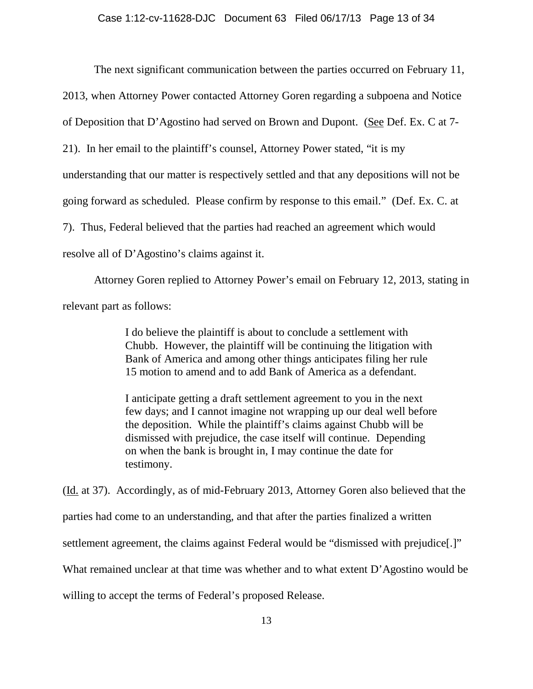The next significant communication between the parties occurred on February 11,

2013, when Attorney Power contacted Attorney Goren regarding a subpoena and Notice

of Deposition that D'Agostino had served on Brown and Dupont. (See Def. Ex. C at 7-

21). In her email to the plaintiff's counsel, Attorney Power stated, "it is my

understanding that our matter is respectively settled and that any depositions will not be

going forward as scheduled. Please confirm by response to this email." (Def. Ex. C. at

7). Thus, Federal believed that the parties had reached an agreement which would

resolve all of D'Agostino's claims against it.

Attorney Goren replied to Attorney Power's email on February 12, 2013, stating in relevant part as follows:

> I do believe the plaintiff is about to conclude a settlement with Chubb. However, the plaintiff will be continuing the litigation with Bank of America and among other things anticipates filing her rule 15 motion to amend and to add Bank of America as a defendant.

I anticipate getting a draft settlement agreement to you in the next few days; and I cannot imagine not wrapping up our deal well before the deposition. While the plaintiff's claims against Chubb will be dismissed with prejudice, the case itself will continue. Depending on when the bank is brought in, I may continue the date for testimony.

(Id. at 37). Accordingly, as of mid-February 2013, Attorney Goren also believed that the parties had come to an understanding, and that after the parties finalized a written settlement agreement, the claims against Federal would be "dismissed with prejudice[.]" What remained unclear at that time was whether and to what extent D'Agostino would be willing to accept the terms of Federal's proposed Release.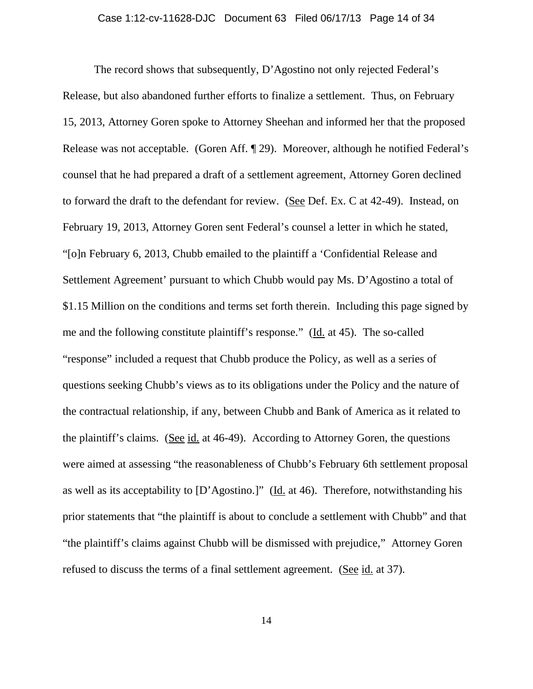The record shows that subsequently, D'Agostino not only rejected Federal's Release, but also abandoned further efforts to finalize a settlement. Thus, on February 15, 2013, Attorney Goren spoke to Attorney Sheehan and informed her that the proposed Release was not acceptable. (Goren Aff. ¶ 29). Moreover, although he notified Federal's counsel that he had prepared a draft of a settlement agreement, Attorney Goren declined to forward the draft to the defendant for review. (See Def. Ex. C at 42-49). Instead, on February 19, 2013, Attorney Goren sent Federal's counsel a letter in which he stated, "[o]n February 6, 2013, Chubb emailed to the plaintiff a 'Confidential Release and Settlement Agreement' pursuant to which Chubb would pay Ms. D'Agostino a total of \$1.15 Million on the conditions and terms set forth therein. Including this page signed by me and the following constitute plaintiff's response." (Id. at 45). The so-called "response" included a request that Chubb produce the Policy, as well as a series of questions seeking Chubb's views as to its obligations under the Policy and the nature of the contractual relationship, if any, between Chubb and Bank of America as it related to the plaintiff's claims. (See id. at 46-49). According to Attorney Goren, the questions were aimed at assessing "the reasonableness of Chubb's February 6th settlement proposal as well as its acceptability to [D'Agostino.]" (Id. at 46). Therefore, notwithstanding his prior statements that "the plaintiff is about to conclude a settlement with Chubb" and that "the plaintiff's claims against Chubb will be dismissed with prejudice," Attorney Goren refused to discuss the terms of a final settlement agreement. (See id. at 37).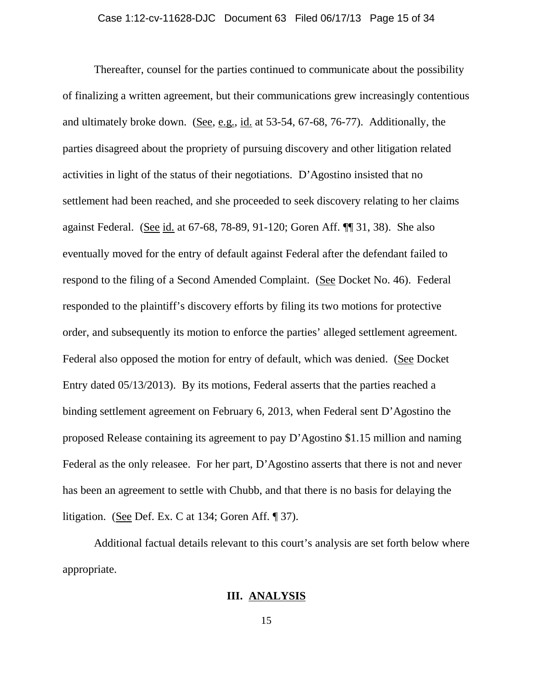Thereafter, counsel for the parties continued to communicate about the possibility of finalizing a written agreement, but their communications grew increasingly contentious and ultimately broke down. (See, e.g., id. at 53-54, 67-68, 76-77). Additionally, the parties disagreed about the propriety of pursuing discovery and other litigation related activities in light of the status of their negotiations. D'Agostino insisted that no settlement had been reached, and she proceeded to seek discovery relating to her claims against Federal. (See id. at 67-68, 78-89, 91-120; Goren Aff. ¶¶ 31, 38). She also eventually moved for the entry of default against Federal after the defendant failed to respond to the filing of a Second Amended Complaint. (See Docket No. 46). Federal responded to the plaintiff's discovery efforts by filing its two motions for protective order, and subsequently its motion to enforce the parties' alleged settlement agreement. Federal also opposed the motion for entry of default, which was denied. (See Docket Entry dated 05/13/2013). By its motions, Federal asserts that the parties reached a binding settlement agreement on February 6, 2013, when Federal sent D'Agostino the proposed Release containing its agreement to pay D'Agostino \$1.15 million and naming Federal as the only releasee. For her part, D'Agostino asserts that there is not and never has been an agreement to settle with Chubb, and that there is no basis for delaying the litigation. (See Def. Ex. C at 134; Goren Aff. ¶ 37).

Additional factual details relevant to this court's analysis are set forth below where appropriate.

### **III. ANALYSIS**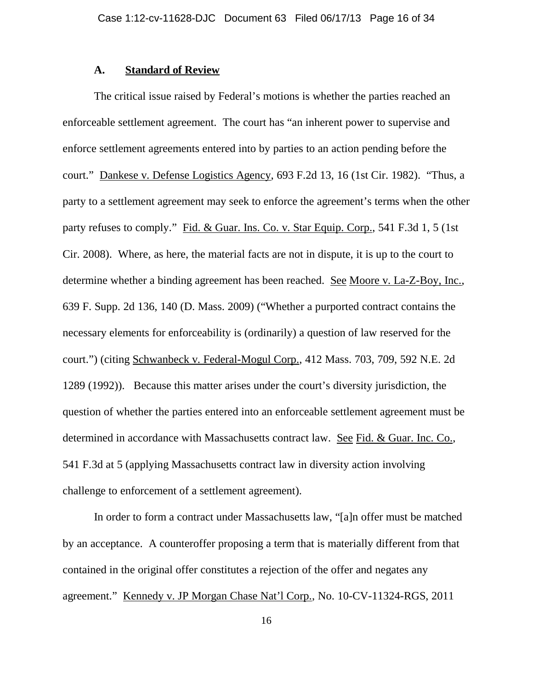### **A. Standard of Review**

The critical issue raised by Federal's motions is whether the parties reached an enforceable settlement agreement. The court has "an inherent power to supervise and enforce settlement agreements entered into by parties to an action pending before the court." Dankese v. Defense Logistics Agency, 693 F.2d 13, 16 (1st Cir. 1982). "Thus, a party to a settlement agreement may seek to enforce the agreement's terms when the other party refuses to comply." Fid. & Guar. Ins. Co. v. Star Equip. Corp., 541 F.3d 1, 5 (1st Cir. 2008). Where, as here, the material facts are not in dispute, it is up to the court to determine whether a binding agreement has been reached. See Moore v. La-Z-Boy, Inc., 639 F. Supp. 2d 136, 140 (D. Mass. 2009) ("Whether a purported contract contains the necessary elements for enforceability is (ordinarily) a question of law reserved for the court.") (citing Schwanbeck v. Federal-Mogul Corp., 412 Mass. 703, 709, 592 N.E. 2d 1289 (1992)). Because this matter arises under the court's diversity jurisdiction, the question of whether the parties entered into an enforceable settlement agreement must be determined in accordance with Massachusetts contract law. See Fid. & Guar. Inc. Co., 541 F.3d at 5 (applying Massachusetts contract law in diversity action involving challenge to enforcement of a settlement agreement).

In order to form a contract under Massachusetts law, "[a]n offer must be matched by an acceptance. A counteroffer proposing a term that is materially different from that contained in the original offer constitutes a rejection of the offer and negates any agreement." Kennedy v. JP Morgan Chase Nat'l Corp., No. 10-CV-11324-RGS, 2011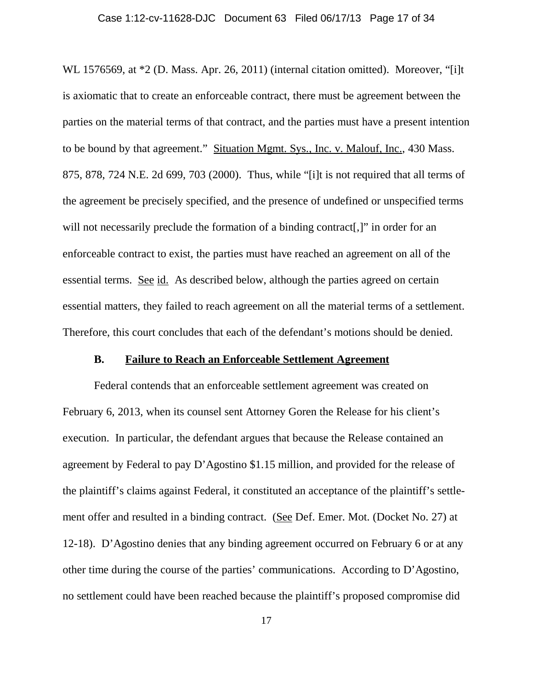WL 1576569, at  $*2$  (D. Mass. Apr. 26, 2011) (internal citation omitted). Moreover, "[i]t is axiomatic that to create an enforceable contract, there must be agreement between the parties on the material terms of that contract, and the parties must have a present intention to be bound by that agreement." Situation Mgmt. Sys., Inc. v. Malouf, Inc., 430 Mass. 875, 878, 724 N.E. 2d 699, 703 (2000). Thus, while "[i]t is not required that all terms of the agreement be precisely specified, and the presence of undefined or unspecified terms will not necessarily preclude the formation of a binding contract. "I" in order for an enforceable contract to exist, the parties must have reached an agreement on all of the essential terms. See id. As described below, although the parties agreed on certain essential matters, they failed to reach agreement on all the material terms of a settlement. Therefore, this court concludes that each of the defendant's motions should be denied.

### **B. Failure to Reach an Enforceable Settlement Agreement**

Federal contends that an enforceable settlement agreement was created on February 6, 2013, when its counsel sent Attorney Goren the Release for his client's execution. In particular, the defendant argues that because the Release contained an agreement by Federal to pay D'Agostino \$1.15 million, and provided for the release of the plaintiff's claims against Federal, it constituted an acceptance of the plaintiff's settlement offer and resulted in a binding contract. (See Def. Emer. Mot. (Docket No. 27) at 12-18). D'Agostino denies that any binding agreement occurred on February 6 or at any other time during the course of the parties' communications. According to D'Agostino, no settlement could have been reached because the plaintiff's proposed compromise did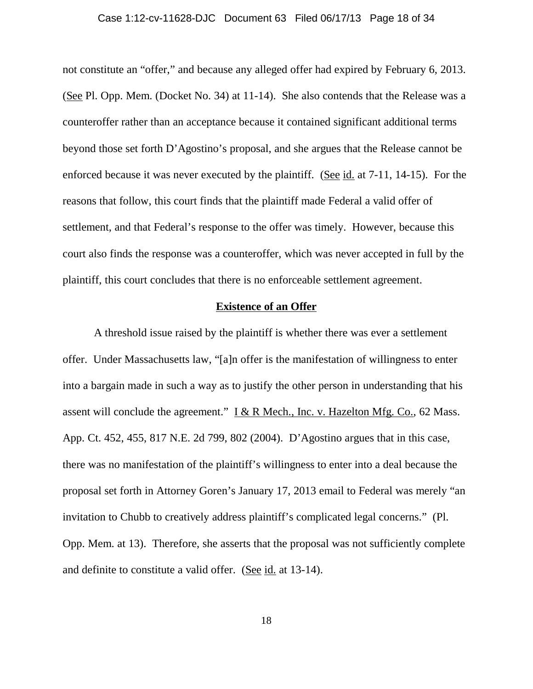### Case 1:12-cv-11628-DJC Document 63 Filed 06/17/13 Page 18 of 34

not constitute an "offer," and because any alleged offer had expired by February 6, 2013. (See Pl. Opp. Mem. (Docket No. 34) at 11-14). She also contends that the Release was a counteroffer rather than an acceptance because it contained significant additional terms beyond those set forth D'Agostino's proposal, and she argues that the Release cannot be enforced because it was never executed by the plaintiff. (See id. at 7-11, 14-15). For the reasons that follow, this court finds that the plaintiff made Federal a valid offer of settlement, and that Federal's response to the offer was timely. However, because this court also finds the response was a counteroffer, which was never accepted in full by the plaintiff, this court concludes that there is no enforceable settlement agreement.

### **Existence of an Offer**

A threshold issue raised by the plaintiff is whether there was ever a settlement offer. Under Massachusetts law, "[a]n offer is the manifestation of willingness to enter into a bargain made in such a way as to justify the other person in understanding that his assent will conclude the agreement."  $I & R R$  Mech., Inc. v. Hazelton Mfg. Co., 62 Mass. App. Ct. 452, 455, 817 N.E. 2d 799, 802 (2004). D'Agostino argues that in this case, there was no manifestation of the plaintiff's willingness to enter into a deal because the proposal set forth in Attorney Goren's January 17, 2013 email to Federal was merely "an invitation to Chubb to creatively address plaintiff's complicated legal concerns." (Pl. Opp. Mem. at 13). Therefore, she asserts that the proposal was not sufficiently complete and definite to constitute a valid offer. (See id. at 13-14).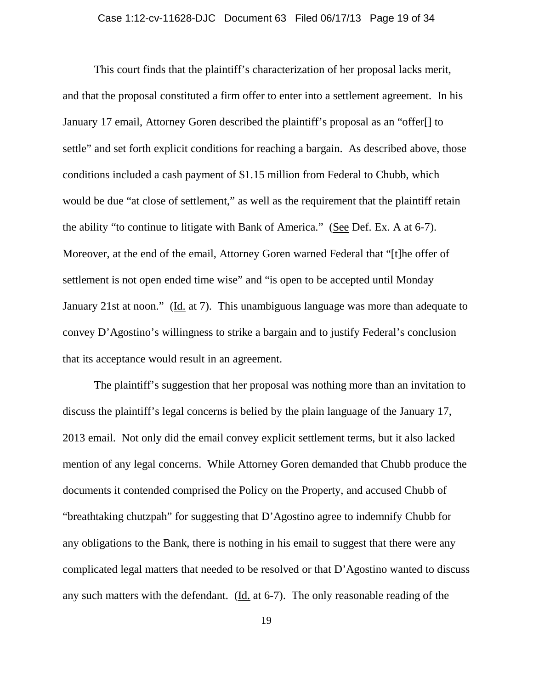This court finds that the plaintiff's characterization of her proposal lacks merit, and that the proposal constituted a firm offer to enter into a settlement agreement. In his January 17 email, Attorney Goren described the plaintiff's proposal as an "offer[] to settle" and set forth explicit conditions for reaching a bargain. As described above, those conditions included a cash payment of \$1.15 million from Federal to Chubb, which would be due "at close of settlement," as well as the requirement that the plaintiff retain the ability "to continue to litigate with Bank of America." (See Def. Ex. A at 6-7). Moreover, at the end of the email, Attorney Goren warned Federal that "[t]he offer of settlement is not open ended time wise" and "is open to be accepted until Monday January 21st at noon." (Id. at 7). This unambiguous language was more than adequate to convey D'Agostino's willingness to strike a bargain and to justify Federal's conclusion that its acceptance would result in an agreement.

The plaintiff's suggestion that her proposal was nothing more than an invitation to discuss the plaintiff's legal concerns is belied by the plain language of the January 17, 2013 email. Not only did the email convey explicit settlement terms, but it also lacked mention of any legal concerns. While Attorney Goren demanded that Chubb produce the documents it contended comprised the Policy on the Property, and accused Chubb of "breathtaking chutzpah" for suggesting that D'Agostino agree to indemnify Chubb for any obligations to the Bank, there is nothing in his email to suggest that there were any complicated legal matters that needed to be resolved or that D'Agostino wanted to discuss any such matters with the defendant. (Id. at 6-7). The only reasonable reading of the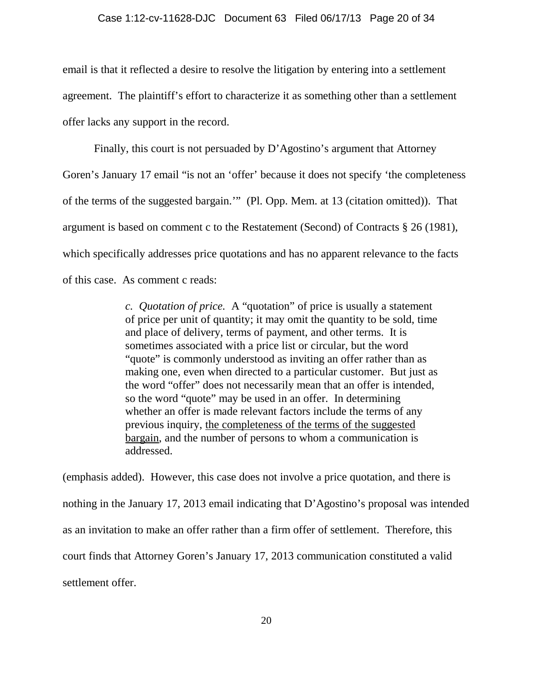### Case 1:12-cv-11628-DJC Document 63 Filed 06/17/13 Page 20 of 34

email is that it reflected a desire to resolve the litigation by entering into a settlement agreement. The plaintiff's effort to characterize it as something other than a settlement offer lacks any support in the record.

Finally, this court is not persuaded by D'Agostino's argument that Attorney Goren's January 17 email "is not an 'offer' because it does not specify 'the completeness of the terms of the suggested bargain.'" (Pl. Opp. Mem. at 13 (citation omitted)). That argument is based on comment c to the Restatement (Second) of Contracts § 26 (1981), which specifically addresses price quotations and has no apparent relevance to the facts of this case. As comment c reads:

> *c. Quotation of price.* A "quotation" of price is usually a statement of price per unit of quantity; it may omit the quantity to be sold, time and place of delivery, terms of payment, and other terms. It is sometimes associated with a price list or circular, but the word "quote" is commonly understood as inviting an offer rather than as making one, even when directed to a particular customer. But just as the word "offer" does not necessarily mean that an offer is intended, so the word "quote" may be used in an offer. In determining whether an offer is made relevant factors include the terms of any previous inquiry, the completeness of the terms of the suggested bargain, and the number of persons to whom a communication is addressed.

(emphasis added). However, this case does not involve a price quotation, and there is nothing in the January 17, 2013 email indicating that D'Agostino's proposal was intended as an invitation to make an offer rather than a firm offer of settlement. Therefore, this court finds that Attorney Goren's January 17, 2013 communication constituted a valid settlement offer.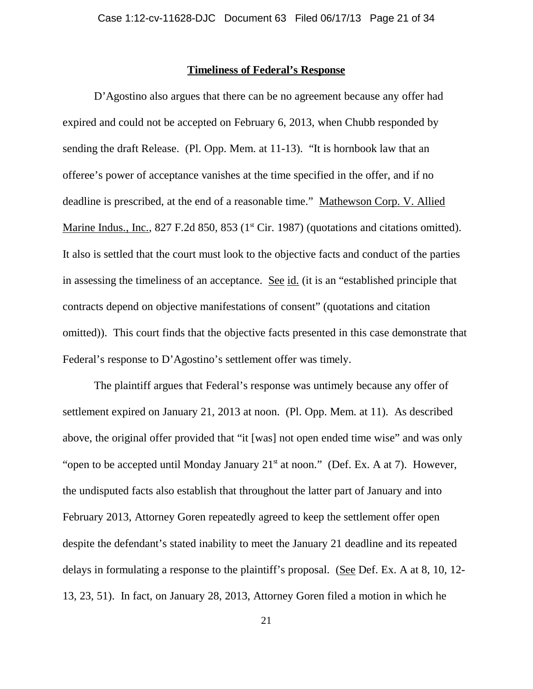### **Timeliness of Federal's Response**

D'Agostino also argues that there can be no agreement because any offer had expired and could not be accepted on February 6, 2013, when Chubb responded by sending the draft Release. (Pl. Opp. Mem. at 11-13). "It is hornbook law that an offeree's power of acceptance vanishes at the time specified in the offer, and if no deadline is prescribed, at the end of a reasonable time." Mathewson Corp. V. Allied Marine Indus., Inc., 827 F.2d 850, 853 ( $1<sup>st</sup> Cir. 1987$ ) (quotations and citations omitted). It also is settled that the court must look to the objective facts and conduct of the parties in assessing the timeliness of an acceptance. See id. (it is an "established principle that contracts depend on objective manifestations of consent" (quotations and citation omitted)). This court finds that the objective facts presented in this case demonstrate that Federal's response to D'Agostino's settlement offer was timely.

The plaintiff argues that Federal's response was untimely because any offer of settlement expired on January 21, 2013 at noon. (Pl. Opp. Mem. at 11). As described above, the original offer provided that "it [was] not open ended time wise" and was only "open to be accepted until Monday January  $21<sup>st</sup>$  at noon." (Def. Ex. A at 7). However, the undisputed facts also establish that throughout the latter part of January and into February 2013, Attorney Goren repeatedly agreed to keep the settlement offer open despite the defendant's stated inability to meet the January 21 deadline and its repeated delays in formulating a response to the plaintiff's proposal. (See Def. Ex. A at 8, 10, 12- 13, 23, 51). In fact, on January 28, 2013, Attorney Goren filed a motion in which he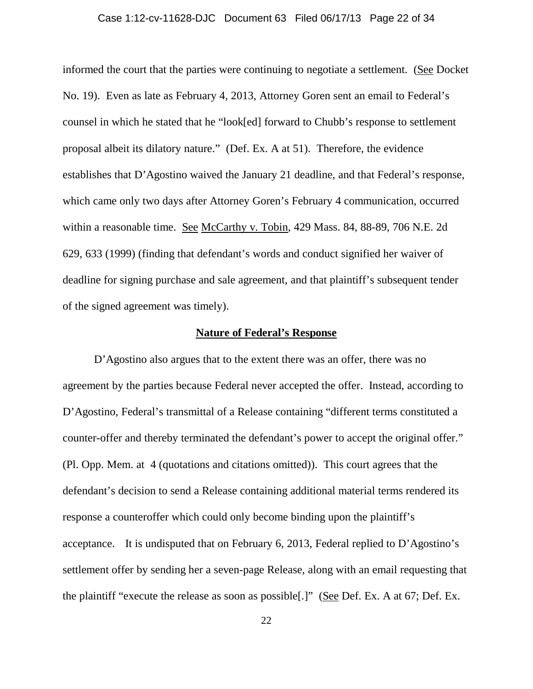### Case 1:12-cv-11628-DJC Document 63 Filed 06/17/13 Page 22 of 34

informed the court that the parties were continuing to negotiate a settlement. (See Docket No. 19). Even as late as February 4, 2013, Attorney Goren sent an email to Federal's counsel in which he stated that he "look[ed] forward to Chubb's response to settlement proposal albeit its dilatory nature." (Def. Ex. A at 51). Therefore, the evidence establishes that D'Agostino waived the January 21 deadline, and that Federal's response, which came only two days after Attorney Goren's February 4 communication, occurred within a reasonable time. See McCarthy v. Tobin, 429 Mass. 84, 88-89, 706 N.E. 2d 629, 633 (1999) (finding that defendant's words and conduct signified her waiver of deadline for signing purchase and sale agreement, and that plaintiff's subsequent tender of the signed agreement was timely).

### **Nature of Federal's Response**

D'Agostino also argues that to the extent there was an offer, there was no agreement by the parties because Federal never accepted the offer. Instead, according to D'Agostino, Federal's transmittal of a Release containing "different terms constituted a counter-offer and thereby terminated the defendant's power to accept the original offer." (Pl. Opp. Mem. at 4 (quotations and citations omitted)). This court agrees that the defendant's decision to send a Release containing additional material terms rendered its response a counteroffer which could only become binding upon the plaintiff's acceptance. It is undisputed that on February 6, 2013, Federal replied to D'Agostino's settlement offer by sending her a seven-page Release, along with an email requesting that the plaintiff "execute the release as soon as possible[.]" (See Def. Ex. A at 67; Def. Ex.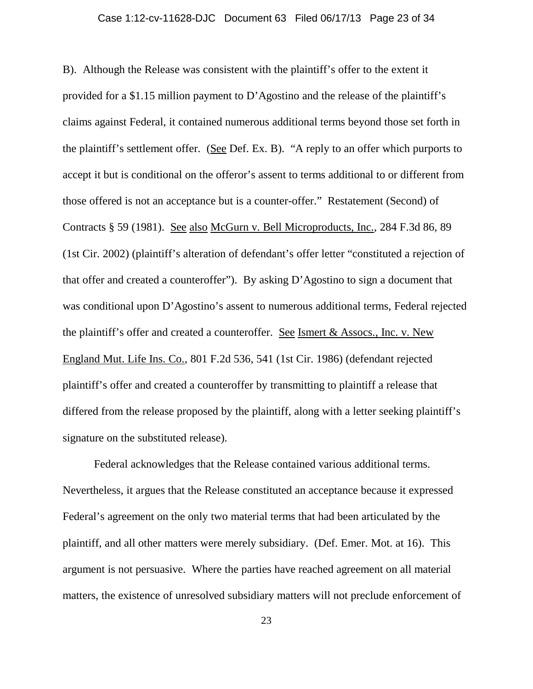B). Although the Release was consistent with the plaintiff's offer to the extent it provided for a \$1.15 million payment to D'Agostino and the release of the plaintiff's claims against Federal, it contained numerous additional terms beyond those set forth in the plaintiff's settlement offer. (See Def. Ex. B). "A reply to an offer which purports to accept it but is conditional on the offeror's assent to terms additional to or different from those offered is not an acceptance but is a counter-offer." Restatement (Second) of Contracts § 59 (1981). See also McGurn v. Bell Microproducts, Inc., 284 F.3d 86, 89 (1st Cir. 2002) (plaintiff's alteration of defendant's offer letter "constituted a rejection of that offer and created a counteroffer"). By asking D'Agostino to sign a document that was conditional upon D'Agostino's assent to numerous additional terms, Federal rejected the plaintiff's offer and created a counteroffer. See Ismert & Assocs., Inc. v. New England Mut. Life Ins. Co., 801 F.2d 536, 541 (1st Cir. 1986) (defendant rejected plaintiff's offer and created a counteroffer by transmitting to plaintiff a release that differed from the release proposed by the plaintiff, along with a letter seeking plaintiff's signature on the substituted release).

Federal acknowledges that the Release contained various additional terms. Nevertheless, it argues that the Release constituted an acceptance because it expressed Federal's agreement on the only two material terms that had been articulated by the plaintiff, and all other matters were merely subsidiary. (Def. Emer. Mot. at 16). This argument is not persuasive. Where the parties have reached agreement on all material matters, the existence of unresolved subsidiary matters will not preclude enforcement of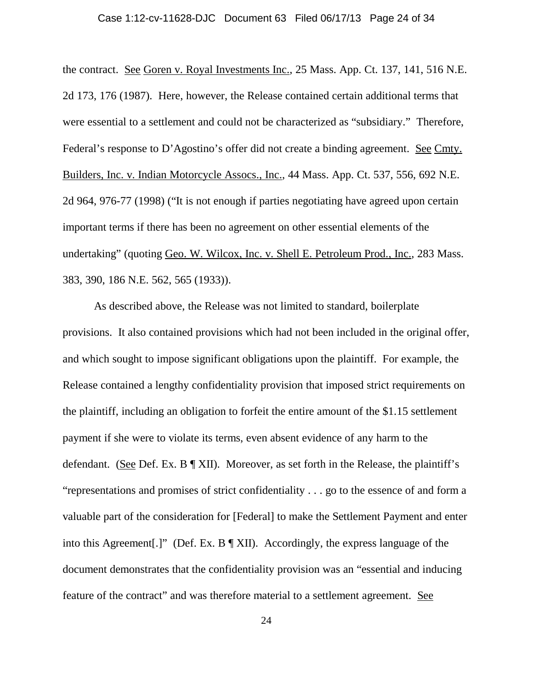### Case 1:12-cv-11628-DJC Document 63 Filed 06/17/13 Page 24 of 34

the contract. See Goren v. Royal Investments Inc., 25 Mass. App. Ct. 137, 141, 516 N.E. 2d 173, 176 (1987). Here, however, the Release contained certain additional terms that were essential to a settlement and could not be characterized as "subsidiary." Therefore, Federal's response to D'Agostino's offer did not create a binding agreement. See Cmty. Builders, Inc. v. Indian Motorcycle Assocs., Inc., 44 Mass. App. Ct. 537, 556, 692 N.E. 2d 964, 976-77 (1998) ("It is not enough if parties negotiating have agreed upon certain important terms if there has been no agreement on other essential elements of the undertaking" (quoting Geo. W. Wilcox, Inc. v. Shell E. Petroleum Prod., Inc., 283 Mass. 383, 390, 186 N.E. 562, 565 (1933)).

As described above, the Release was not limited to standard, boilerplate provisions. It also contained provisions which had not been included in the original offer, and which sought to impose significant obligations upon the plaintiff. For example, the Release contained a lengthy confidentiality provision that imposed strict requirements on the plaintiff, including an obligation to forfeit the entire amount of the \$1.15 settlement payment if she were to violate its terms, even absent evidence of any harm to the defendant. (See Def. Ex. B ¶ XII). Moreover, as set forth in the Release, the plaintiff's "representations and promises of strict confidentiality . . . go to the essence of and form a valuable part of the consideration for [Federal] to make the Settlement Payment and enter into this Agreement[.]" (Def. Ex. B ¶ XII). Accordingly, the express language of the document demonstrates that the confidentiality provision was an "essential and inducing feature of the contract" and was therefore material to a settlement agreement. See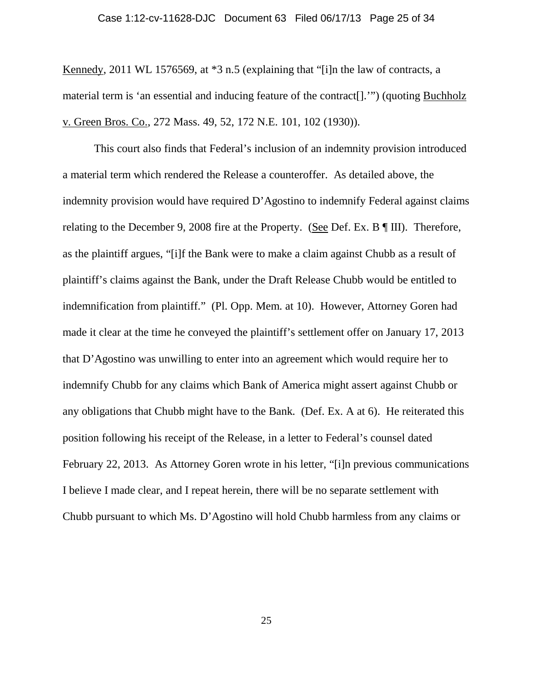Kennedy, 2011 WL 1576569, at  $*3$  n.5 (explaining that "[i]n the law of contracts, a material term is 'an essential and inducing feature of the contract[].'") (quoting Buchholz v. Green Bros. Co., 272 Mass. 49, 52, 172 N.E. 101, 102 (1930)).

This court also finds that Federal's inclusion of an indemnity provision introduced a material term which rendered the Release a counteroffer. As detailed above, the indemnity provision would have required D'Agostino to indemnify Federal against claims relating to the December 9, 2008 fire at the Property. (See Def. Ex. B ¶ III). Therefore, as the plaintiff argues, "[i]f the Bank were to make a claim against Chubb as a result of plaintiff's claims against the Bank, under the Draft Release Chubb would be entitled to indemnification from plaintiff." (Pl. Opp. Mem. at 10). However, Attorney Goren had made it clear at the time he conveyed the plaintiff's settlement offer on January 17, 2013 that D'Agostino was unwilling to enter into an agreement which would require her to indemnify Chubb for any claims which Bank of America might assert against Chubb or any obligations that Chubb might have to the Bank. (Def. Ex. A at 6). He reiterated this position following his receipt of the Release, in a letter to Federal's counsel dated February 22, 2013. As Attorney Goren wrote in his letter, "[i]n previous communications I believe I made clear, and I repeat herein, there will be no separate settlement with Chubb pursuant to which Ms. D'Agostino will hold Chubb harmless from any claims or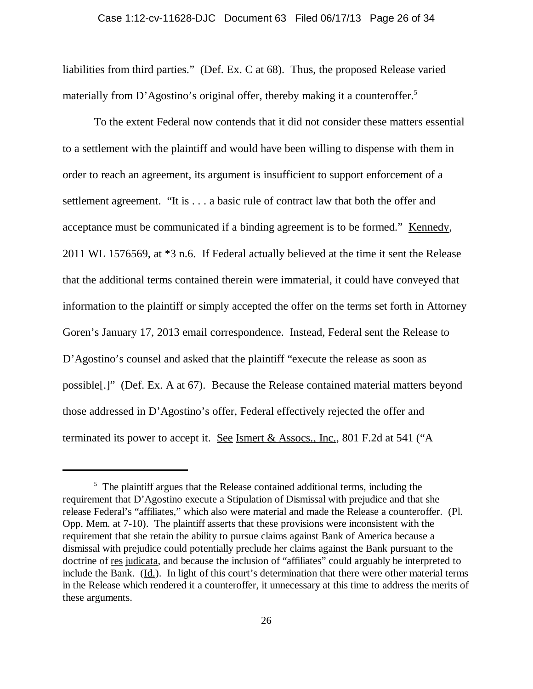liabilities from third parties." (Def. Ex. C at 68). Thus, the proposed Release varied materially from D'Agostino's original offer, thereby making it a counteroffer.<sup>5</sup>

To the extent Federal now contends that it did not consider these matters essential to a settlement with the plaintiff and would have been willing to dispense with them in order to reach an agreement, its argument is insufficient to support enforcement of a settlement agreement. "It is . . . a basic rule of contract law that both the offer and acceptance must be communicated if a binding agreement is to be formed." Kennedy, 2011 WL 1576569, at \*3 n.6. If Federal actually believed at the time it sent the Release that the additional terms contained therein were immaterial, it could have conveyed that information to the plaintiff or simply accepted the offer on the terms set forth in Attorney Goren's January 17, 2013 email correspondence. Instead, Federal sent the Release to D'Agostino's counsel and asked that the plaintiff "execute the release as soon as possible[.]" (Def. Ex. A at 67). Because the Release contained material matters beyond those addressed in D'Agostino's offer, Federal effectively rejected the offer and terminated its power to accept it. See Ismert & Assocs., Inc., 801 F.2d at 541 ("A

<sup>&</sup>lt;sup>5</sup> The plaintiff argues that the Release contained additional terms, including the requirement that D'Agostino execute a Stipulation of Dismissal with prejudice and that she release Federal's "affiliates," which also were material and made the Release a counteroffer. (Pl. Opp. Mem. at 7-10). The plaintiff asserts that these provisions were inconsistent with the requirement that she retain the ability to pursue claims against Bank of America because a dismissal with prejudice could potentially preclude her claims against the Bank pursuant to the doctrine of res judicata, and because the inclusion of "affiliates" could arguably be interpreted to include the Bank. (Id.). In light of this court's determination that there were other material terms in the Release which rendered it a counteroffer, it unnecessary at this time to address the merits of these arguments.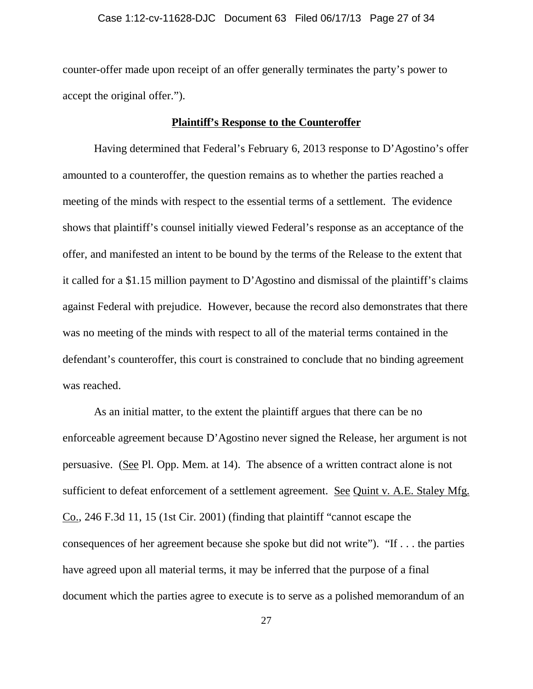counter-offer made upon receipt of an offer generally terminates the party's power to accept the original offer.").

### **Plaintiff's Response to the Counteroffer**

Having determined that Federal's February 6, 2013 response to D'Agostino's offer amounted to a counteroffer, the question remains as to whether the parties reached a meeting of the minds with respect to the essential terms of a settlement. The evidence shows that plaintiff's counsel initially viewed Federal's response as an acceptance of the offer, and manifested an intent to be bound by the terms of the Release to the extent that it called for a \$1.15 million payment to D'Agostino and dismissal of the plaintiff's claims against Federal with prejudice. However, because the record also demonstrates that there was no meeting of the minds with respect to all of the material terms contained in the defendant's counteroffer, this court is constrained to conclude that no binding agreement was reached.

As an initial matter, to the extent the plaintiff argues that there can be no enforceable agreement because D'Agostino never signed the Release, her argument is not persuasive. (See Pl. Opp. Mem. at 14). The absence of a written contract alone is not sufficient to defeat enforcement of a settlement agreement. See Quint v. A.E. Staley Mfg. Co., 246 F.3d 11, 15 (1st Cir. 2001) (finding that plaintiff "cannot escape the consequences of her agreement because she spoke but did not write"). "If . . . the parties have agreed upon all material terms, it may be inferred that the purpose of a final document which the parties agree to execute is to serve as a polished memorandum of an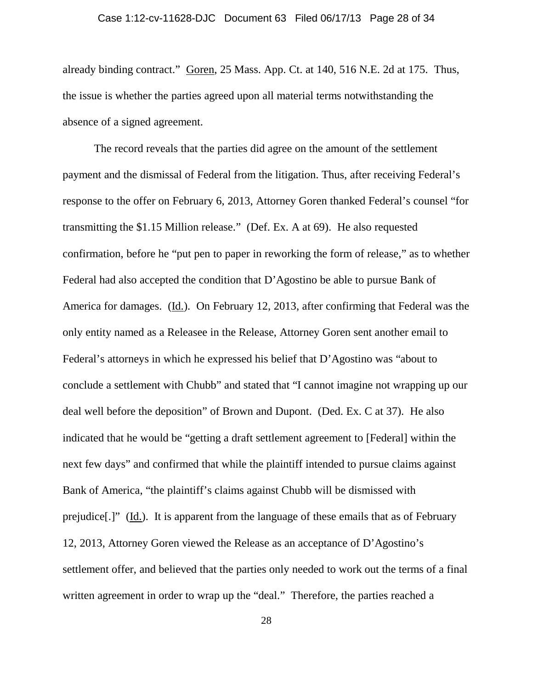### Case 1:12-cv-11628-DJC Document 63 Filed 06/17/13 Page 28 of 34

already binding contract." Goren, 25 Mass. App. Ct. at 140, 516 N.E. 2d at 175. Thus, the issue is whether the parties agreed upon all material terms notwithstanding the absence of a signed agreement.

The record reveals that the parties did agree on the amount of the settlement payment and the dismissal of Federal from the litigation. Thus, after receiving Federal's response to the offer on February 6, 2013, Attorney Goren thanked Federal's counsel "for transmitting the \$1.15 Million release." (Def. Ex. A at 69). He also requested confirmation, before he "put pen to paper in reworking the form of release," as to whether Federal had also accepted the condition that D'Agostino be able to pursue Bank of America for damages. (Id.). On February 12, 2013, after confirming that Federal was the only entity named as a Releasee in the Release, Attorney Goren sent another email to Federal's attorneys in which he expressed his belief that D'Agostino was "about to conclude a settlement with Chubb" and stated that "I cannot imagine not wrapping up our deal well before the deposition" of Brown and Dupont. (Ded. Ex. C at 37). He also indicated that he would be "getting a draft settlement agreement to [Federal] within the next few days" and confirmed that while the plaintiff intended to pursue claims against Bank of America, "the plaintiff's claims against Chubb will be dismissed with prejudice[.]" (Id.). It is apparent from the language of these emails that as of February 12, 2013, Attorney Goren viewed the Release as an acceptance of D'Agostino's settlement offer, and believed that the parties only needed to work out the terms of a final written agreement in order to wrap up the "deal." Therefore, the parties reached a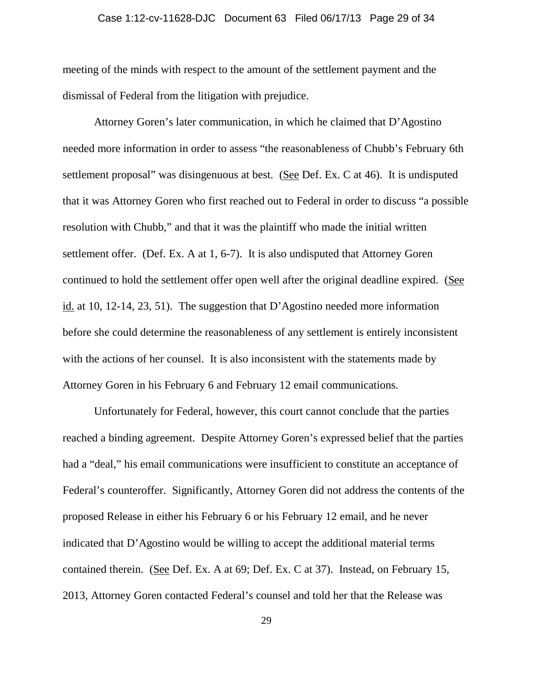### Case 1:12-cv-11628-DJC Document 63 Filed 06/17/13 Page 29 of 34

meeting of the minds with respect to the amount of the settlement payment and the dismissal of Federal from the litigation with prejudice.

Attorney Goren's later communication, in which he claimed that D'Agostino needed more information in order to assess "the reasonableness of Chubb's February 6th settlement proposal" was disingenuous at best. (See Def. Ex. C at 46). It is undisputed that it was Attorney Goren who first reached out to Federal in order to discuss "a possible resolution with Chubb," and that it was the plaintiff who made the initial written settlement offer. (Def. Ex. A at 1, 6-7). It is also undisputed that Attorney Goren continued to hold the settlement offer open well after the original deadline expired. (See id. at 10, 12-14, 23, 51). The suggestion that D'Agostino needed more information before she could determine the reasonableness of any settlement is entirely inconsistent with the actions of her counsel. It is also inconsistent with the statements made by Attorney Goren in his February 6 and February 12 email communications.

Unfortunately for Federal, however, this court cannot conclude that the parties reached a binding agreement. Despite Attorney Goren's expressed belief that the parties had a "deal," his email communications were insufficient to constitute an acceptance of Federal's counteroffer. Significantly, Attorney Goren did not address the contents of the proposed Release in either his February 6 or his February 12 email, and he never indicated that D'Agostino would be willing to accept the additional material terms contained therein. (See Def. Ex. A at 69; Def. Ex. C at 37). Instead, on February 15, 2013, Attorney Goren contacted Federal's counsel and told her that the Release was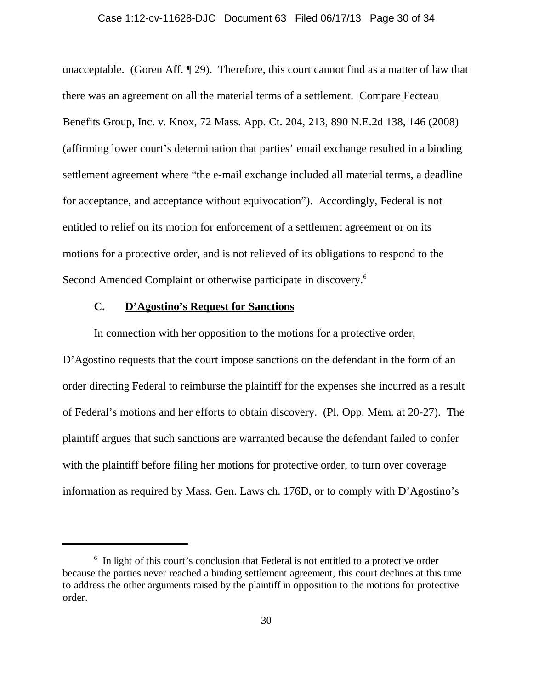#### Case 1:12-cv-11628-DJC Document 63 Filed 06/17/13 Page 30 of 34

unacceptable. (Goren Aff. ¶ 29). Therefore, this court cannot find as a matter of law that there was an agreement on all the material terms of a settlement. Compare Fecteau Benefits Group, Inc. v. Knox, 72 Mass. App. Ct. 204, 213, 890 N.E.2d 138, 146 (2008) (affirming lower court's determination that parties' email exchange resulted in a binding settlement agreement where "the e-mail exchange included all material terms, a deadline for acceptance, and acceptance without equivocation"). Accordingly, Federal is not entitled to relief on its motion for enforcement of a settlement agreement or on its motions for a protective order, and is not relieved of its obligations to respond to the Second Amended Complaint or otherwise participate in discovery.<sup>6</sup>

### **C. D'Agostino's Request for Sanctions**

In connection with her opposition to the motions for a protective order,

D'Agostino requests that the court impose sanctions on the defendant in the form of an order directing Federal to reimburse the plaintiff for the expenses she incurred as a result of Federal's motions and her efforts to obtain discovery. (Pl. Opp. Mem. at 20-27). The plaintiff argues that such sanctions are warranted because the defendant failed to confer with the plaintiff before filing her motions for protective order, to turn over coverage information as required by Mass. Gen. Laws ch. 176D, or to comply with D'Agostino's

<sup>&</sup>lt;sup>6</sup> In light of this court's conclusion that Federal is not entitled to a protective order because the parties never reached a binding settlement agreement, this court declines at this time to address the other arguments raised by the plaintiff in opposition to the motions for protective order.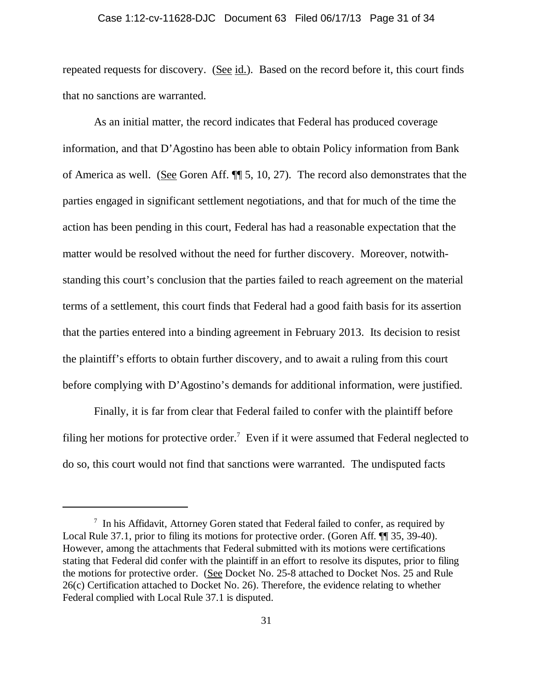#### Case 1:12-cv-11628-DJC Document 63 Filed 06/17/13 Page 31 of 34

repeated requests for discovery. (See id.). Based on the record before it, this court finds that no sanctions are warranted.

As an initial matter, the record indicates that Federal has produced coverage information, and that D'Agostino has been able to obtain Policy information from Bank of America as well. (See Goren Aff. ¶¶ 5, 10, 27). The record also demonstrates that the parties engaged in significant settlement negotiations, and that for much of the time the action has been pending in this court, Federal has had a reasonable expectation that the matter would be resolved without the need for further discovery. Moreover, notwithstanding this court's conclusion that the parties failed to reach agreement on the material terms of a settlement, this court finds that Federal had a good faith basis for its assertion that the parties entered into a binding agreement in February 2013. Its decision to resist the plaintiff's efforts to obtain further discovery, and to await a ruling from this court before complying with D'Agostino's demands for additional information, were justified.

Finally, it is far from clear that Federal failed to confer with the plaintiff before filing her motions for protective order.<sup>7</sup> Even if it were assumed that Federal neglected to do so, this court would not find that sanctions were warranted. The undisputed facts

 $7$  In his Affidavit, Attorney Goren stated that Federal failed to confer, as required by Local Rule 37.1, prior to filing its motions for protective order. (Goren Aff.  $\P$  35, 39-40). However, among the attachments that Federal submitted with its motions were certifications stating that Federal did confer with the plaintiff in an effort to resolve its disputes, prior to filing the motions for protective order. (See Docket No. 25-8 attached to Docket Nos. 25 and Rule 26(c) Certification attached to Docket No. 26). Therefore, the evidence relating to whether Federal complied with Local Rule 37.1 is disputed.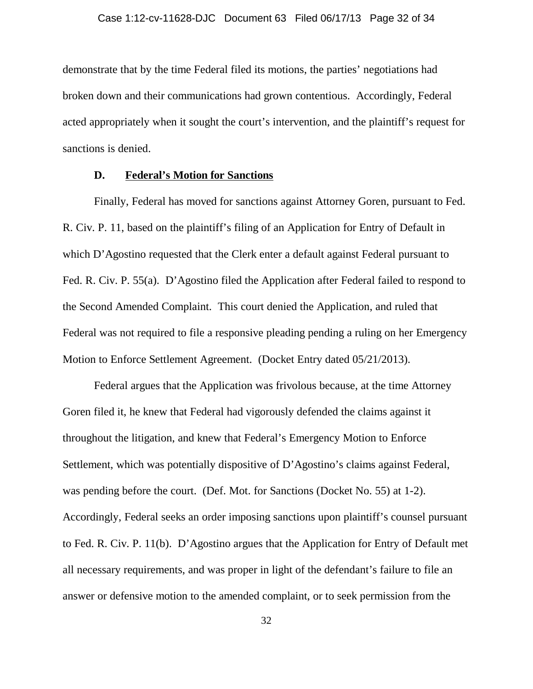demonstrate that by the time Federal filed its motions, the parties' negotiations had broken down and their communications had grown contentious. Accordingly, Federal acted appropriately when it sought the court's intervention, and the plaintiff's request for sanctions is denied.

### **D. Federal's Motion for Sanctions**

Finally, Federal has moved for sanctions against Attorney Goren, pursuant to Fed. R. Civ. P. 11, based on the plaintiff's filing of an Application for Entry of Default in which D'Agostino requested that the Clerk enter a default against Federal pursuant to Fed. R. Civ. P. 55(a). D'Agostino filed the Application after Federal failed to respond to the Second Amended Complaint. This court denied the Application, and ruled that Federal was not required to file a responsive pleading pending a ruling on her Emergency Motion to Enforce Settlement Agreement. (Docket Entry dated 05/21/2013).

Federal argues that the Application was frivolous because, at the time Attorney Goren filed it, he knew that Federal had vigorously defended the claims against it throughout the litigation, and knew that Federal's Emergency Motion to Enforce Settlement, which was potentially dispositive of D'Agostino's claims against Federal, was pending before the court. (Def. Mot. for Sanctions (Docket No. 55) at 1-2). Accordingly, Federal seeks an order imposing sanctions upon plaintiff's counsel pursuant to Fed. R. Civ. P. 11(b). D'Agostino argues that the Application for Entry of Default met all necessary requirements, and was proper in light of the defendant's failure to file an answer or defensive motion to the amended complaint, or to seek permission from the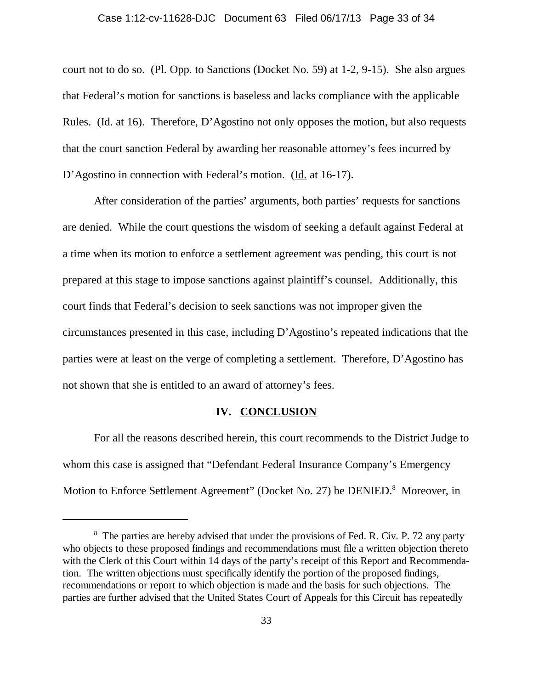court not to do so. (Pl. Opp. to Sanctions (Docket No. 59) at 1-2, 9-15). She also argues that Federal's motion for sanctions is baseless and lacks compliance with the applicable Rules. (Id. at 16). Therefore, D'Agostino not only opposes the motion, but also requests that the court sanction Federal by awarding her reasonable attorney's fees incurred by D'Agostino in connection with Federal's motion. (Id. at 16-17).

After consideration of the parties' arguments, both parties' requests for sanctions are denied. While the court questions the wisdom of seeking a default against Federal at a time when its motion to enforce a settlement agreement was pending, this court is not prepared at this stage to impose sanctions against plaintiff's counsel. Additionally, this court finds that Federal's decision to seek sanctions was not improper given the circumstances presented in this case, including D'Agostino's repeated indications that the parties were at least on the verge of completing a settlement. Therefore, D'Agostino has not shown that she is entitled to an award of attorney's fees.

### **IV. CONCLUSION**

For all the reasons described herein, this court recommends to the District Judge to whom this case is assigned that "Defendant Federal Insurance Company's Emergency Motion to Enforce Settlement Agreement" (Docket No. 27) be DENIED.<sup>8</sup> Moreover, in

<sup>&</sup>lt;sup>8</sup> The parties are hereby advised that under the provisions of Fed. R. Civ. P. 72 any party who objects to these proposed findings and recommendations must file a written objection thereto with the Clerk of this Court within 14 days of the party's receipt of this Report and Recommendation. The written objections must specifically identify the portion of the proposed findings, recommendations or report to which objection is made and the basis for such objections. The parties are further advised that the United States Court of Appeals for this Circuit has repeatedly